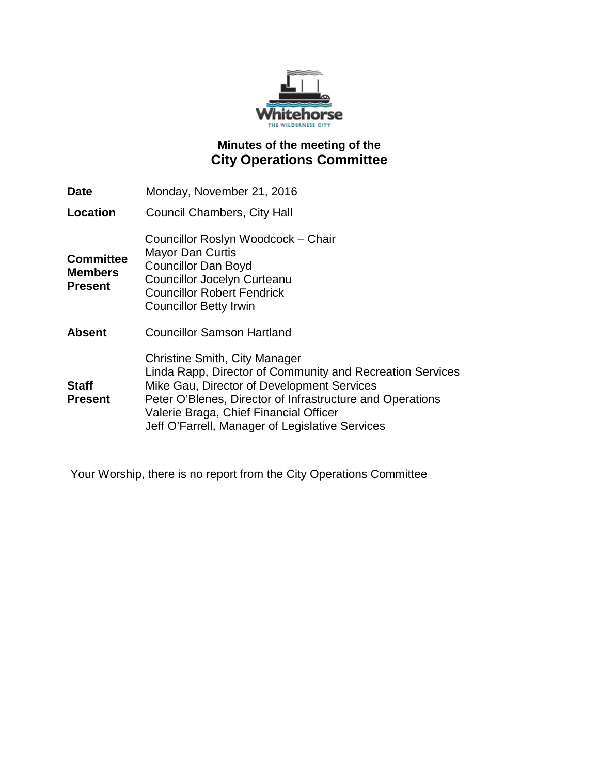

# **Minutes of the meeting of the City Operations Committee**

| <b>Date</b>                                          | Monday, November 21, 2016                                                                                                                                                                                                                                                                                 |
|------------------------------------------------------|-----------------------------------------------------------------------------------------------------------------------------------------------------------------------------------------------------------------------------------------------------------------------------------------------------------|
| Location                                             | <b>Council Chambers, City Hall</b>                                                                                                                                                                                                                                                                        |
| <b>Committee</b><br><b>Members</b><br><b>Present</b> | Councillor Roslyn Woodcock - Chair<br><b>Mayor Dan Curtis</b><br><b>Councillor Dan Boyd</b><br><b>Councillor Jocelyn Curteanu</b><br><b>Councillor Robert Fendrick</b><br><b>Councillor Betty Irwin</b>                                                                                                   |
| <b>Absent</b>                                        | <b>Councillor Samson Hartland</b>                                                                                                                                                                                                                                                                         |
| <b>Staff</b><br><b>Present</b>                       | <b>Christine Smith, City Manager</b><br>Linda Rapp, Director of Community and Recreation Services<br>Mike Gau, Director of Development Services<br>Peter O'Blenes, Director of Infrastructure and Operations<br>Valerie Braga, Chief Financial Officer<br>Jeff O'Farrell, Manager of Legislative Services |

Your Worship, there is no report from the City Operations Committee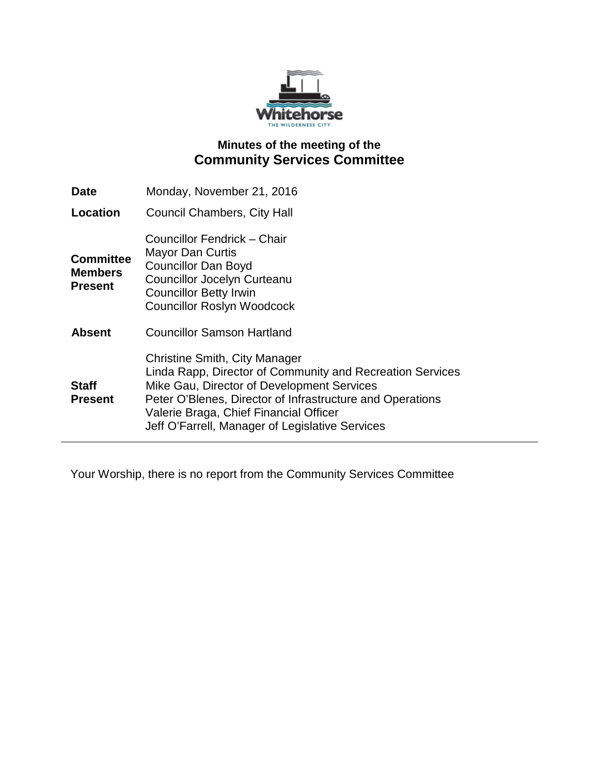

# **Minutes of the meeting of the Community Services Committee**

| <b>Date</b>                                          | Monday, November 21, 2016                                                                                                                                                                                                                                                                          |
|------------------------------------------------------|----------------------------------------------------------------------------------------------------------------------------------------------------------------------------------------------------------------------------------------------------------------------------------------------------|
| Location                                             | <b>Council Chambers, City Hall</b>                                                                                                                                                                                                                                                                 |
| <b>Committee</b><br><b>Members</b><br><b>Present</b> | Councillor Fendrick – Chair<br>Mayor Dan Curtis<br><b>Councillor Dan Boyd</b><br><b>Councillor Jocelyn Curteanu</b><br><b>Councillor Betty Irwin</b><br><b>Councillor Roslyn Woodcock</b>                                                                                                          |
| <b>Absent</b>                                        | <b>Councillor Samson Hartland</b>                                                                                                                                                                                                                                                                  |
| <b>Staff</b><br><b>Present</b>                       | Christine Smith, City Manager<br>Linda Rapp, Director of Community and Recreation Services<br>Mike Gau, Director of Development Services<br>Peter O'Blenes, Director of Infrastructure and Operations<br>Valerie Braga, Chief Financial Officer<br>Jeff O'Farrell, Manager of Legislative Services |

Your Worship, there is no report from the Community Services Committee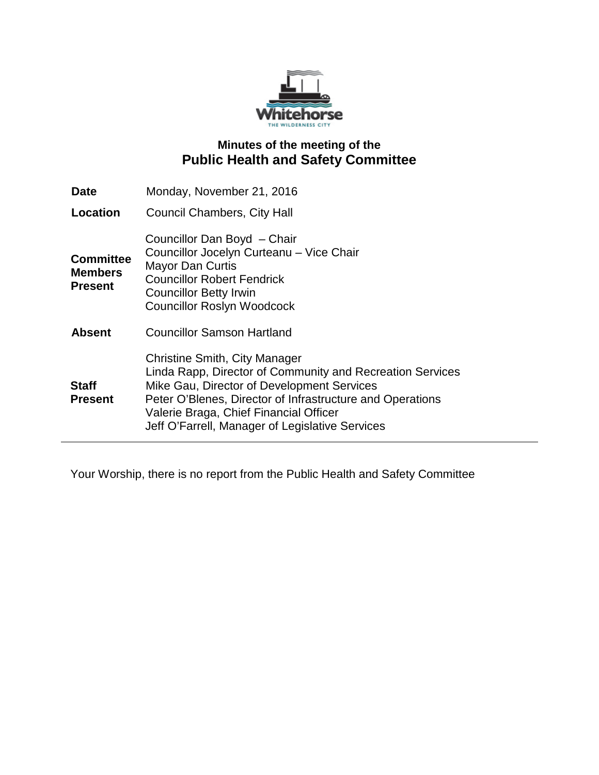

# **Minutes of the meeting of the Public Health and Safety Committee**

| <b>Date</b>                                          | Monday, November 21, 2016                                                                                                                                                                                                                                                                                 |
|------------------------------------------------------|-----------------------------------------------------------------------------------------------------------------------------------------------------------------------------------------------------------------------------------------------------------------------------------------------------------|
| Location                                             | Council Chambers, City Hall                                                                                                                                                                                                                                                                               |
| <b>Committee</b><br><b>Members</b><br><b>Present</b> | Councillor Dan Boyd - Chair<br>Councillor Jocelyn Curteanu - Vice Chair<br><b>Mayor Dan Curtis</b><br><b>Councillor Robert Fendrick</b><br><b>Councillor Betty Irwin</b><br><b>Councillor Roslyn Woodcock</b>                                                                                             |
| <b>Absent</b>                                        | <b>Councillor Samson Hartland</b>                                                                                                                                                                                                                                                                         |
| <b>Staff</b><br><b>Present</b>                       | <b>Christine Smith, City Manager</b><br>Linda Rapp, Director of Community and Recreation Services<br>Mike Gau, Director of Development Services<br>Peter O'Blenes, Director of Infrastructure and Operations<br>Valerie Braga, Chief Financial Officer<br>Jeff O'Farrell, Manager of Legislative Services |

Your Worship, there is no report from the Public Health and Safety Committee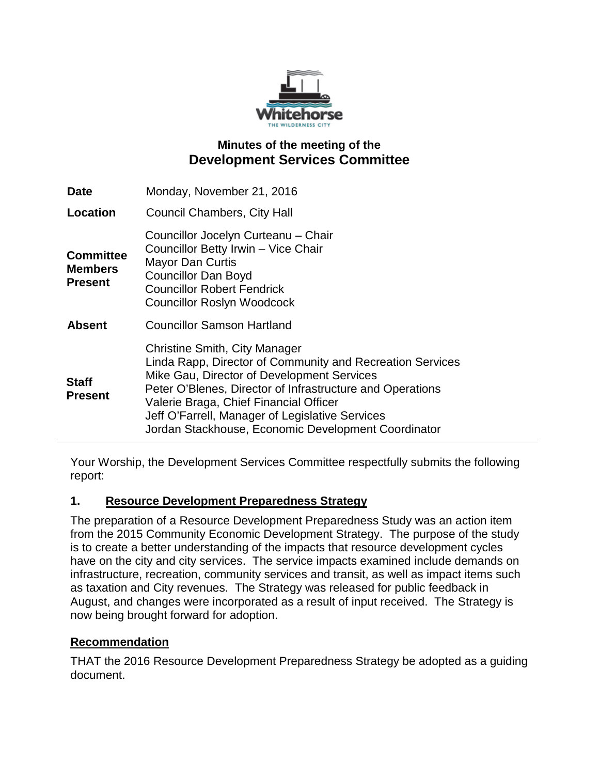

## **Minutes of the meeting of the Development Services Committee**

| <b>Date</b>                                          | Monday, November 21, 2016                                                                                                                                                                                                                                                                                                                                        |
|------------------------------------------------------|------------------------------------------------------------------------------------------------------------------------------------------------------------------------------------------------------------------------------------------------------------------------------------------------------------------------------------------------------------------|
| Location                                             | Council Chambers, City Hall                                                                                                                                                                                                                                                                                                                                      |
| <b>Committee</b><br><b>Members</b><br><b>Present</b> | Councillor Jocelyn Curteanu - Chair<br>Councillor Betty Irwin - Vice Chair<br><b>Mayor Dan Curtis</b><br><b>Councillor Dan Boyd</b><br><b>Councillor Robert Fendrick</b><br><b>Councillor Roslyn Woodcock</b>                                                                                                                                                    |
| <b>Absent</b>                                        | <b>Councillor Samson Hartland</b>                                                                                                                                                                                                                                                                                                                                |
| <b>Staff</b><br><b>Present</b>                       | <b>Christine Smith, City Manager</b><br>Linda Rapp, Director of Community and Recreation Services<br>Mike Gau, Director of Development Services<br>Peter O'Blenes, Director of Infrastructure and Operations<br>Valerie Braga, Chief Financial Officer<br>Jeff O'Farrell, Manager of Legislative Services<br>Jordan Stackhouse, Economic Development Coordinator |

Your Worship, the Development Services Committee respectfully submits the following report:

## **1. Resource Development Preparedness Strategy**

The preparation of a Resource Development Preparedness Study was an action item from the 2015 Community Economic Development Strategy. The purpose of the study is to create a better understanding of the impacts that resource development cycles have on the city and city services. The service impacts examined include demands on infrastructure, recreation, community services and transit, as well as impact items such as taxation and City revenues. The Strategy was released for public feedback in August, and changes were incorporated as a result of input received. The Strategy is now being brought forward for adoption.

## **Recommendation**

THAT the 2016 Resource Development Preparedness Strategy be adopted as a guiding document.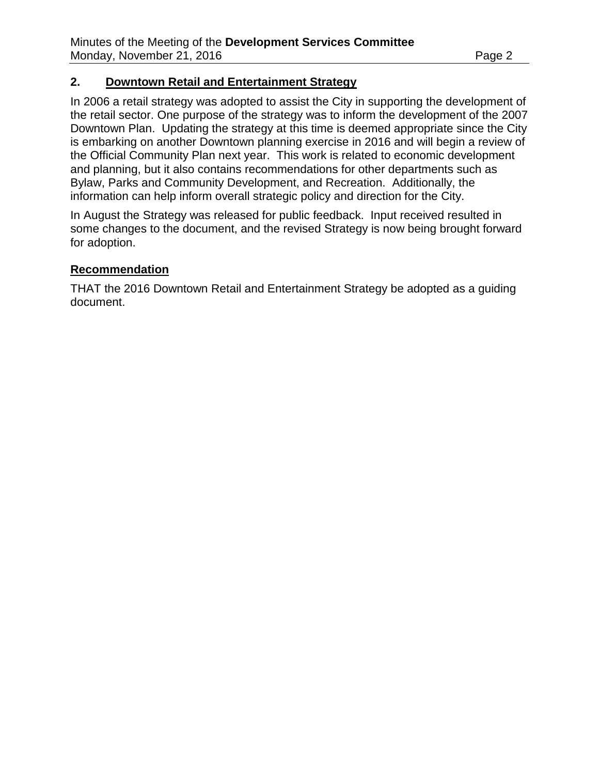#### **2. Downtown Retail and Entertainment Strategy**

In 2006 a retail strategy was adopted to assist the City in supporting the development of the retail sector. One purpose of the strategy was to inform the development of the 2007 Downtown Plan. Updating the strategy at this time is deemed appropriate since the City is embarking on another Downtown planning exercise in 2016 and will begin a review of the Official Community Plan next year. This work is related to economic development and planning, but it also contains recommendations for other departments such as Bylaw, Parks and Community Development, and Recreation. Additionally, the information can help inform overall strategic policy and direction for the City.

In August the Strategy was released for public feedback. Input received resulted in some changes to the document, and the revised Strategy is now being brought forward for adoption.

#### **Recommendation**

THAT the 2016 Downtown Retail and Entertainment Strategy be adopted as a guiding document.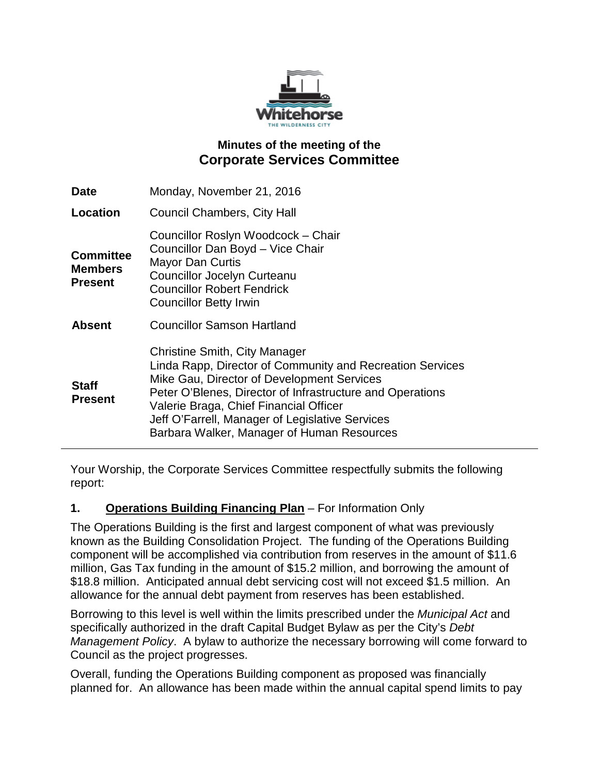

# **Minutes of the meeting of the Corporate Services Committee**

| Monday, November 21, 2016                                                                                                                                                                                                                                                                                                                               |
|---------------------------------------------------------------------------------------------------------------------------------------------------------------------------------------------------------------------------------------------------------------------------------------------------------------------------------------------------------|
| Council Chambers, City Hall                                                                                                                                                                                                                                                                                                                             |
| Councillor Roslyn Woodcock - Chair<br>Councillor Dan Boyd - Vice Chair<br><b>Mayor Dan Curtis</b><br><b>Councillor Jocelyn Curteanu</b><br><b>Councillor Robert Fendrick</b><br><b>Councillor Betty Irwin</b>                                                                                                                                           |
| <b>Councillor Samson Hartland</b>                                                                                                                                                                                                                                                                                                                       |
| <b>Christine Smith, City Manager</b><br>Linda Rapp, Director of Community and Recreation Services<br>Mike Gau, Director of Development Services<br>Peter O'Blenes, Director of Infrastructure and Operations<br>Valerie Braga, Chief Financial Officer<br>Jeff O'Farrell, Manager of Legislative Services<br>Barbara Walker, Manager of Human Resources |
|                                                                                                                                                                                                                                                                                                                                                         |

Your Worship, the Corporate Services Committee respectfully submits the following report:

## **1. Operations Building Financing Plan** – For Information Only

The Operations Building is the first and largest component of what was previously known as the Building Consolidation Project. The funding of the Operations Building component will be accomplished via contribution from reserves in the amount of \$11.6 million, Gas Tax funding in the amount of \$15.2 million, and borrowing the amount of \$18.8 million. Anticipated annual debt servicing cost will not exceed \$1.5 million. An allowance for the annual debt payment from reserves has been established.

Borrowing to this level is well within the limits prescribed under the *Municipal Act* and specifically authorized in the draft Capital Budget Bylaw as per the City's *Debt Management Policy*. A bylaw to authorize the necessary borrowing will come forward to Council as the project progresses.

Overall, funding the Operations Building component as proposed was financially planned for. An allowance has been made within the annual capital spend limits to pay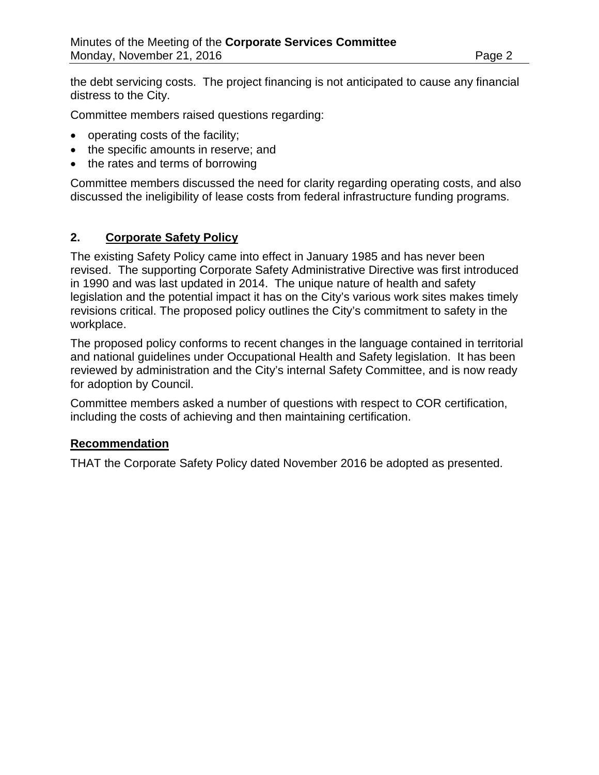the debt servicing costs. The project financing is not anticipated to cause any financial distress to the City.

Committee members raised questions regarding:

- operating costs of the facility;
- the specific amounts in reserve; and
- the rates and terms of borrowing

Committee members discussed the need for clarity regarding operating costs, and also discussed the ineligibility of lease costs from federal infrastructure funding programs.

## **2. Corporate Safety Policy**

The existing Safety Policy came into effect in January 1985 and has never been revised. The supporting Corporate Safety Administrative Directive was first introduced in 1990 and was last updated in 2014. The unique nature of health and safety legislation and the potential impact it has on the City's various work sites makes timely revisions critical. The proposed policy outlines the City's commitment to safety in the workplace.

The proposed policy conforms to recent changes in the language contained in territorial and national guidelines under Occupational Health and Safety legislation. It has been reviewed by administration and the City's internal Safety Committee, and is now ready for adoption by Council.

Committee members asked a number of questions with respect to COR certification, including the costs of achieving and then maintaining certification.

#### **Recommendation**

THAT the Corporate Safety Policy dated November 2016 be adopted as presented.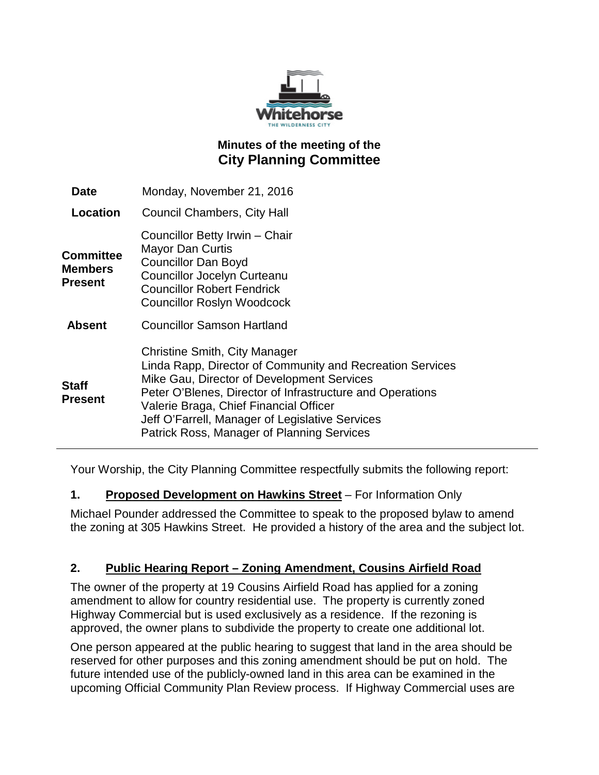

# **Minutes of the meeting of the City Planning Committee**

| Date                                          | Monday, November 21, 2016                                                                                                                                                                                                                                                                                                                               |
|-----------------------------------------------|---------------------------------------------------------------------------------------------------------------------------------------------------------------------------------------------------------------------------------------------------------------------------------------------------------------------------------------------------------|
| Location                                      | <b>Council Chambers, City Hall</b>                                                                                                                                                                                                                                                                                                                      |
| <b>Committee</b><br>Members<br><b>Present</b> | Councillor Betty Irwin - Chair<br><b>Mayor Dan Curtis</b><br><b>Councillor Dan Boyd</b><br><b>Councillor Jocelyn Curteanu</b><br><b>Councillor Robert Fendrick</b><br><b>Councillor Roslyn Woodcock</b>                                                                                                                                                 |
| <b>Absent</b>                                 | <b>Councillor Samson Hartland</b>                                                                                                                                                                                                                                                                                                                       |
| Staff<br><b>Present</b>                       | <b>Christine Smith, City Manager</b><br>Linda Rapp, Director of Community and Recreation Services<br>Mike Gau, Director of Development Services<br>Peter O'Blenes, Director of Infrastructure and Operations<br>Valerie Braga, Chief Financial Officer<br>Jeff O'Farrell, Manager of Legislative Services<br>Patrick Ross, Manager of Planning Services |

Your Worship, the City Planning Committee respectfully submits the following report:

## **1. Proposed Development on Hawkins Street** – For Information Only

Michael Pounder addressed the Committee to speak to the proposed bylaw to amend the zoning at 305 Hawkins Street. He provided a history of the area and the subject lot.

## **2. Public Hearing Report – Zoning Amendment, Cousins Airfield Road**

The owner of the property at 19 Cousins Airfield Road has applied for a zoning amendment to allow for country residential use. The property is currently zoned Highway Commercial but is used exclusively as a residence. If the rezoning is approved, the owner plans to subdivide the property to create one additional lot.

One person appeared at the public hearing to suggest that land in the area should be reserved for other purposes and this zoning amendment should be put on hold. The future intended use of the publicly-owned land in this area can be examined in the upcoming Official Community Plan Review process. If Highway Commercial uses are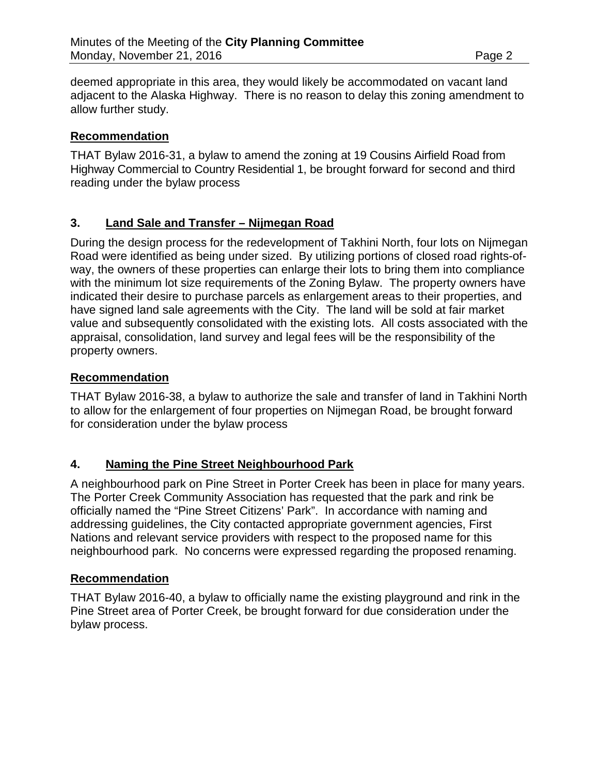deemed appropriate in this area, they would likely be accommodated on vacant land adjacent to the Alaska Highway. There is no reason to delay this zoning amendment to allow further study.

## **Recommendation**

THAT Bylaw 2016-31, a bylaw to amend the zoning at 19 Cousins Airfield Road from Highway Commercial to Country Residential 1, be brought forward for second and third reading under the bylaw process

## **3. Land Sale and Transfer – Nijmegan Road**

During the design process for the redevelopment of Takhini North, four lots on Nijmegan Road were identified as being under sized. By utilizing portions of closed road rights-ofway, the owners of these properties can enlarge their lots to bring them into compliance with the minimum lot size requirements of the Zoning Bylaw. The property owners have indicated their desire to purchase parcels as enlargement areas to their properties, and have signed land sale agreements with the City. The land will be sold at fair market value and subsequently consolidated with the existing lots. All costs associated with the appraisal, consolidation, land survey and legal fees will be the responsibility of the property owners.

#### **Recommendation**

THAT Bylaw 2016-38, a bylaw to authorize the sale and transfer of land in Takhini North to allow for the enlargement of four properties on Nijmegan Road, be brought forward for consideration under the bylaw process

## **4. Naming the Pine Street Neighbourhood Park**

A neighbourhood park on Pine Street in Porter Creek has been in place for many years. The Porter Creek Community Association has requested that the park and rink be officially named the "Pine Street Citizens' Park". In accordance with naming and addressing guidelines, the City contacted appropriate government agencies, First Nations and relevant service providers with respect to the proposed name for this neighbourhood park. No concerns were expressed regarding the proposed renaming.

## **Recommendation**

THAT Bylaw 2016-40, a bylaw to officially name the existing playground and rink in the Pine Street area of Porter Creek, be brought forward for due consideration under the bylaw process.